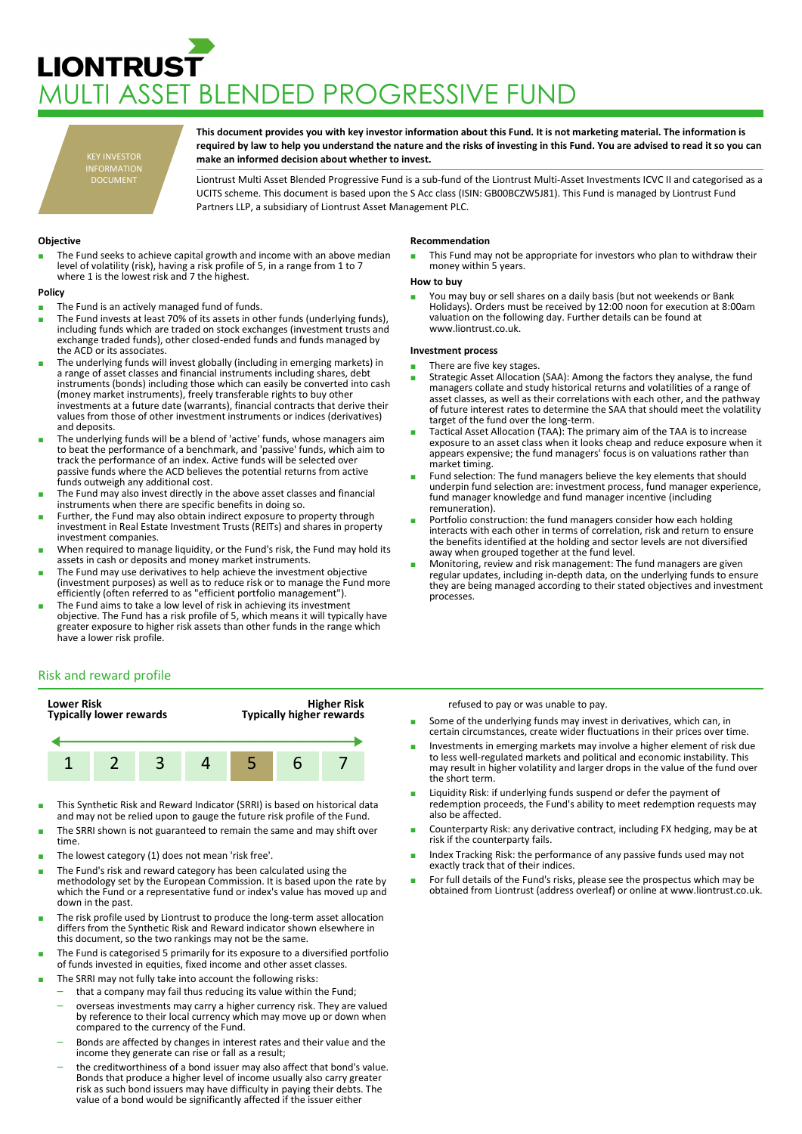# **LIONTRUST** MULTI ASSET BLENDED PROGRESSIVE FUND

KEY INVESTOR INFORMATION DOCUMENT

**This document provides you with key investor information about this Fund. It is not marketing material. The information is required by law to help you understand the nature and the risks of investing in this Fund. You are advised to read it so you can make an informed decision about whether to invest.**

Liontrust Multi Asset Blended Progressive Fund is a sub-fund of the Liontrust Multi-Asset Investments ICVC II and categorised as a UCITS scheme. This document is based upon the S Acc class (ISIN: GB00BCZW5J81). This Fund is managed by Liontrust Fund Partners LLP, a subsidiary of Liontrust Asset Management PLC.

## **Objective**

The Fund seeks to achieve capital growth and income with an above median level of volatility (risk), having a risk profile of 5, in a range from 1 to 7 where 1 is the lowest risk and 7 the highest.

#### **Policy**

- The Fund is an actively managed fund of funds.
- The Fund invests at least 70% of its assets in other funds (underlying funds), including funds which are traded on stock exchanges (investment trusts and exchange traded funds), other closed-ended funds and funds managed by the ACD or its associates.
- The underlying funds will invest globally (including in emerging markets) in a range of asset classes and financial instruments including shares, debt instruments (bonds) including those which can easily be converted into cash (money market instruments), freely transferable rights to buy other investments at a future date (warrants), financial contracts that derive their values from those of other investment instruments or indices (derivatives) and deposits.
- The underlying funds will be a blend of 'active' funds, whose managers aim to beat the performance of a benchmark, and 'passive' funds, which aim to track the performance of an index. Active funds will be selected over passive funds where the ACD believes the potential returns from active funds outweigh any additional cost.
- The Fund may also invest directly in the above asset classes and financial instruments when there are specific benefits in doing so.
- Further, the Fund may also obtain indirect exposure to property through investment in Real Estate Investment Trusts (REITs) and shares in property investment companies.
- When required to manage liquidity, or the Fund's risk, the Fund may hold its assets in cash or deposits and money market instruments.
- The Fund may use derivatives to help achieve the investment objective (investment purposes) as well as to reduce risk or to manage the Fund more efficiently (often referred to as "efficient portfolio management").
- The Fund aims to take a low level of risk in achieving its investment objective. The Fund has a risk profile of 5, which means it will typically have greater exposure to higher risk assets than other funds in the range which have a lower risk profile.

# Risk and reward profile



- This Synthetic Risk and Reward Indicator (SRRI) is based on historical data and may not be relied upon to gauge the future risk profile of the Fund.
- The SRRI shown is not guaranteed to remain the same and may shift over time.
- The lowest category (1) does not mean 'risk free'.
- The Fund's risk and reward category has been calculated using the methodology set by the European Commission. It is based upon the rate by which the Fund or a representative fund or index's value has moved up and down in the past.
- The risk profile used by Liontrust to produce the long-term asset allocation differs from the Synthetic Risk and Reward indicator shown elsewhere in this document, so the two rankings may not be the same.
- The Fund is categorised 5 primarily for its exposure to a diversified portfolio of funds invested in equities, fixed income and other asset classes.
- The SRRI may not fully take into account the following risks:
	- that a company may fail thus reducing its value within the Fund;
	- overseas investments may carry a higher currency risk. They are valued by reference to their local currency which may move up or down when compared to the currency of the Fund.
	- Bonds are affected by changes in interest rates and their value and the income they generate can rise or fall as a result;
	- the creditworthiness of a bond issuer may also affect that bond's value. Bonds that produce a higher level of income usually also carry greater risk as such bond issuers may have difficulty in paying their debts. The value of a bond would be significantly affected if the issuer either

#### **Recommendation**

This Fund may not be appropriate for investors who plan to withdraw their money within 5 years.

#### **How to buy**

■ You may buy or sell shares on a daily basis (but not weekends or Bank<br>Holidays). Orders must be received by 12:00 noon for execution at 8:00am valuation on the following day. Further details can be found at www.liontrust.co.uk.

## **Investment process**

- There are five key stages.
- Strategic Asset Allocation (SAA): Among the factors they analyse, the fund managers collate and study historical returns and volatilities of a range of asset classes, as well as their correlations with each other, and the pathway of future interest rates to determine the SAA that should meet the volatility target of the fund over the long-term.
- Tactical Asset Allocation (TAA): The primary aim of the TAA is to increase exposure to an asset class when it looks cheap and reduce exposure when it appears expensive; the fund managers' focus is on valuations rather than market timing.
- Fund selection: The fund managers believe the key elements that should underpin fund selection are: investment process, fund manager experience, fund manager knowledge and fund manager incentive (including remuneration).
- Portfolio construction: the fund managers consider how each holding interacts with each other in terms of correlation, risk and return to ensure the benefits identified at the holding and sector levels are not diversified away when grouped together at the fund level.
- Monitoring, review and risk management: The fund managers are given regular updates, including in-depth data, on the underlying funds to ensure they are being managed according to their stated objectives and investment processes.

refused to pay or was unable to pay.

- Some of the underlying funds may invest in derivatives, which can, in certain circumstances, create wider fluctuations in their prices over time.
- Investments in emerging markets may involve a higher element of risk due to less well-regulated markets and political and economic instability. This may result in higher volatility and larger drops in the value of the fund over the short term.
- Liquidity Risk: if underlying funds suspend or defer the payment of redemption proceeds, the Fund's ability to meet redemption requests may also be affected.
- Counterparty Risk: any derivative contract, including FX hedging, may be at risk if the counterparty fails.
- Index Tracking Risk: the performance of any passive funds used may not exactly track that of their indices.
- For full details of the Fund's risks, please see the prospectus which may be obtained from Liontrust (address overleaf) or online at www.liontrust.co.uk.